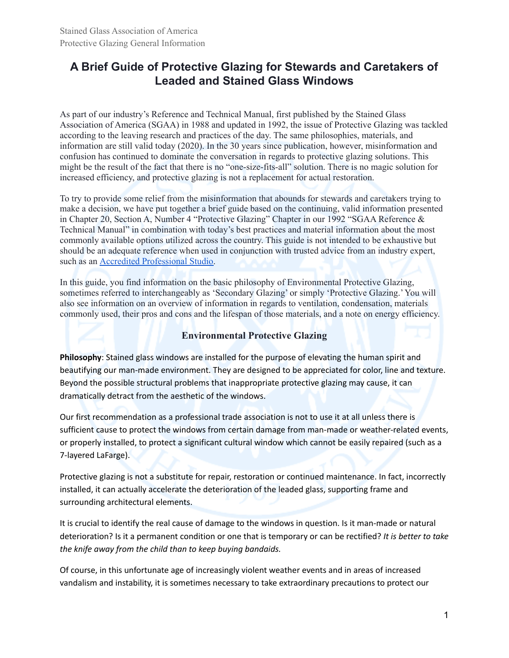# **A Brief Guide of Protective Glazing for Stewards and Caretakers of Leaded and Stained Glass Windows**

As part of our industry's Reference and Technical Manual, first published by the Stained Glass Association of America (SGAA) in 1988 and updated in 1992, the issue of Protective Glazing was tackled according to the leaving research and practices of the day. The same philosophies, materials, and information are still valid today (2020). In the 30 years since publication, however, misinformation and confusion has continued to dominate the conversation in regards to protective glazing solutions. This might be the result of the fact that there is no "one-size-fits-all" solution. There is no magic solution for increased efficiency, and protective glazing is not a replacement for actual restoration.

To try to provide some relief from the misinformation that abounds for stewards and caretakers trying to make a decision, we have put together a brief guide based on the continuing, valid information presented in Chapter 20, Section A, Number 4 "Protective Glazing" Chapter in our 1992 "SGAA Reference & Technical Manual" in combination with today's best practices and material information about the most commonly available options utilized across the country. This guide is not intended to be exhaustive but should be an adequate reference when used in conjunction with trusted advice from an industry expert, such as an Accredited [Professional](https://stainedglass.org/find-a-studio/) Studio.

In this guide, you find information on the basic philosophy of Environmental Protective Glazing, sometimes referred to interchangeably as 'Secondary Glazing' or simply 'Protective Glazing.'You will also see information on an overview of information in regards to ventilation, condensation, materials commonly used, their pros and cons and the lifespan of those materials, and a note on energy efficiency.

## **Environmental Protective Glazing**

**Philosophy**: Stained glass windows are installed for the purpose of elevating the human spirit and beautifying our man-made environment. They are designed to be appreciated for color, line and texture. Beyond the possible structural problems that inappropriate protective glazing may cause, it can dramatically detract from the aesthetic of the windows.

Our first recommendation as a professional trade association is not to use it at all unless there is sufficient cause to protect the windows from certain damage from man-made or weather-related events, or properly installed, to protect a significant cultural window which cannot be easily repaired (such as a 7-layered LaFarge).

Protective glazing is not a substitute for repair, restoration or continued maintenance. In fact, incorrectly installed, it can actually accelerate the deterioration of the leaded glass, supporting frame and surrounding architectural elements.

It is crucial to identify the real cause of damage to the windows in question. Is it man-made or natural deterioration? Is it a permanent condition or one that is temporary or can be rectified? *It is better to take the knife away from the child than to keep buying bandaids.*

Of course, in this unfortunate age of increasingly violent weather events and in areas of increased vandalism and instability, it is sometimes necessary to take extraordinary precautions to protect our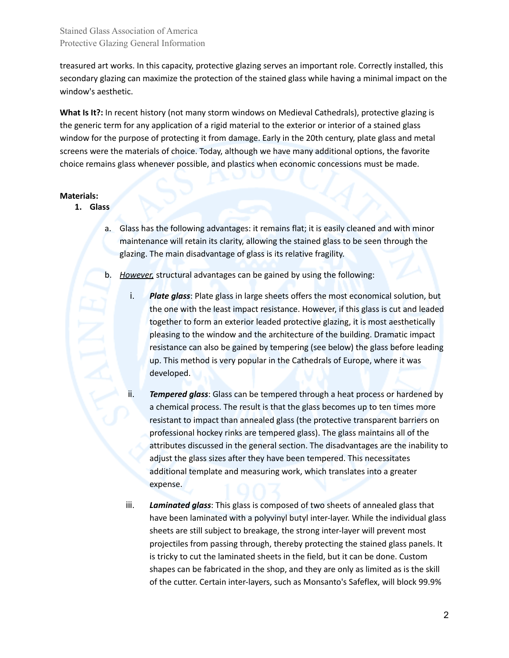Stained Glass Association of America Protective Glazing General Information

treasured art works. In this capacity, protective glazing serves an important role. Correctly installed, this secondary glazing can maximize the protection of the stained glass while having a minimal impact on the window's aesthetic.

**What Is It?:** In recent history (not many storm windows on Medieval Cathedrals), protective glazing is the generic term for any application of a rigid material to the exterior or interior of a stained glass window for the purpose of protecting it from damage. Early in the 20th century, plate glass and metal screens were the materials of choice. Today, although we have many additional options, the favorite choice remains glass whenever possible, and plastics when economic concessions must be made.

#### **Materials:**

- **1. Glass**
	- a. Glass has the following advantages: it remains flat; it is easily cleaned and with minor maintenance will retain its clarity, allowing the stained glass to be seen through the glazing. The main disadvantage of glass is its relative fragility.
	- b. *However,* structural advantages can be gained by using the following:
		- i. *Plate glass*: Plate glass in large sheets offers the most economical solution, but the one with the least impact resistance. However, if this glass is cut and leaded together to form an exterior leaded protective glazing, it is most aesthetically pleasing to the window and the architecture of the building. Dramatic impact resistance can also be gained by tempering (see below) the glass before leading up. This method is very popular in the Cathedrals of Europe, where it was developed.
		- ii. *Tempered glass*: Glass can be tempered through a heat process or hardened by a chemical process. The result is that the glass becomes up to ten times more resistant to impact than annealed glass (the protective transparent barriers on professional hockey rinks are tempered glass). The glass maintains all of the attributes discussed in the general section. The disadvantages are the inability to adjust the glass sizes after they have been tempered. This necessitates additional template and measuring work, which translates into a greater expense.
		- iii. *Laminated glass*: This glass is composed of two sheets of annealed glass that have been laminated with a polyvinyl butyl inter-layer. While the individual glass sheets are still subject to breakage, the strong inter-layer will prevent most projectiles from passing through, thereby protecting the stained glass panels. It is tricky to cut the laminated sheets in the field, but it can be done. Custom shapes can be fabricated in the shop, and they are only as limited as is the skill of the cutter. Certain inter-layers, such as Monsanto's Safeflex, will block 99.9%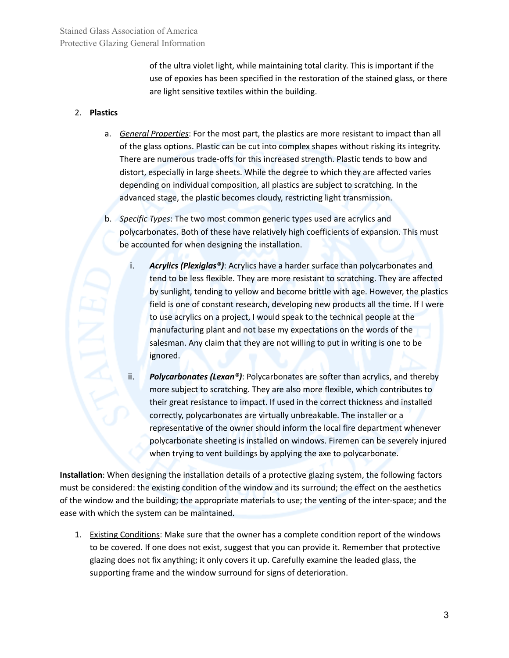of the ultra violet light, while maintaining total clarity. This is important if the use of epoxies has been specified in the restoration of the stained glass, or there are light sensitive textiles within the building.

### 2. **Plastics**

- a. *General Properties*: For the most part, the plastics are more resistant to impact than all of the glass options. Plastic can be cut into complex shapes without risking its integrity. There are numerous trade-offs for this increased strength. Plastic tends to bow and distort, especially in large sheets. While the degree to which they are affected varies depending on individual composition, all plastics are subject to scratching. In the advanced stage, the plastic becomes cloudy, restricting light transmission.
- b. *Specific Types*: The two most common generic types used are acrylics and polycarbonates. Both of these have relatively high coefficients of expansion. This must be accounted for when designing the installation.
	- i. *Acrylics (Plexiglas®)*: Acrylics have a harder surface than polycarbonates and tend to be less flexible. They are more resistant to scratching. They are affected by sunlight, tending to yellow and become brittle with age. However, the plastics field is one of constant research, developing new products all the time. If I were to use acrylics on a project, I would speak to the technical people at the manufacturing plant and not base my expectations on the words of the salesman. Any claim that they are not willing to put in writing is one to be ignored.
	- ii. *Polycarbonates (Lexan®)*: Polycarbonates are softer than acrylics, and thereby more subject to scratching. They are also more flexible, which contributes to their great resistance to impact. If used in the correct thickness and installed correctly, polycarbonates are virtually unbreakable. The installer or a representative of the owner should inform the local fire department whenever polycarbonate sheeting is installed on windows. Firemen can be severely injured when trying to vent buildings by applying the axe to polycarbonate.

**Installation**: When designing the installation details of a protective glazing system, the following factors must be considered: the existing condition of the window and its surround; the effect on the aesthetics of the window and the building; the appropriate materials to use; the venting of the inter-space; and the ease with which the system can be maintained.

1. Existing Conditions: Make sure that the owner has a complete condition report of the windows to be covered. If one does not exist, suggest that you can provide it. Remember that protective glazing does not fix anything; it only covers it up. Carefully examine the leaded glass, the supporting frame and the window surround for signs of deterioration.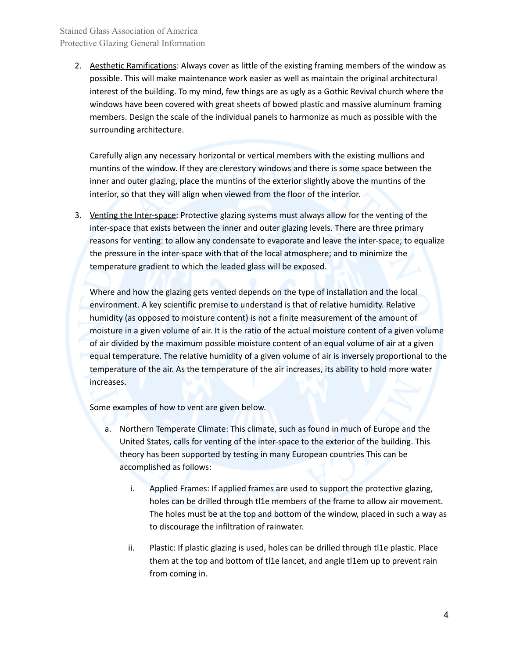2. Aesthetic Ramifications: Always cover as little of the existing framing members of the window as possible. This will make maintenance work easier as well as maintain the original architectural interest of the building. To my mind, few things are as ugly as a Gothic Revival church where the windows have been covered with great sheets of bowed plastic and massive aluminum framing members. Design the scale of the individual panels to harmonize as much as possible with the surrounding architecture.

Carefully align any necessary horizontal or vertical members with the existing mullions and muntins of the window. If they are clerestory windows and there is some space between the inner and outer glazing, place the muntins of the exterior slightly above the muntins of the interior, so that they will align when viewed from the floor of the interior.

3. Yenting the Inter-space: Protective glazing systems must always allow for the venting of the inter-space that exists between the inner and outer glazing levels. There are three primary reasons for venting: to allow any condensate to evaporate and leave the inter-space; to equalize the pressure in the inter-space with that of the local atmosphere; and to minimize the temperature gradient to which the leaded glass will be exposed.

Where and how the glazing gets vented depends on the type of installation and the local environment. A key scientific premise to understand is that of relative humidity. Relative humidity (as opposed to moisture content) is not a finite measurement of the amount of moisture in a given volume of air. It is the ratio of the actual moisture content of a given volume of air divided by the maximum possible moisture content of an equal volume of air at a given equal temperature. The relative humidity of a given volume of air is inversely proportional to the temperature of the air. As the temperature of the air increases, its ability to hold more water increases.

Some examples of how to vent are given below.

- a. Northern Temperate Climate: This climate, such as found in much of Europe and the United States, calls for venting of the inter-space to the exterior of the building. This theory has been supported by testing in many European countries This can be accomplished as follows:
	- i. Applied Frames: If applied frames are used to support the protective glazing, holes can be drilled through tl1e members of the frame to allow air movement. The holes must be at the top and bottom of the window, placed in such a way as to discourage the infiltration of rainwater.
	- ii. Plastic: If plastic glazing is used, holes can be drilled through tl1e plastic. Place them at the top and bottom of tl1e lancet, and angle tl1em up to prevent rain from coming in.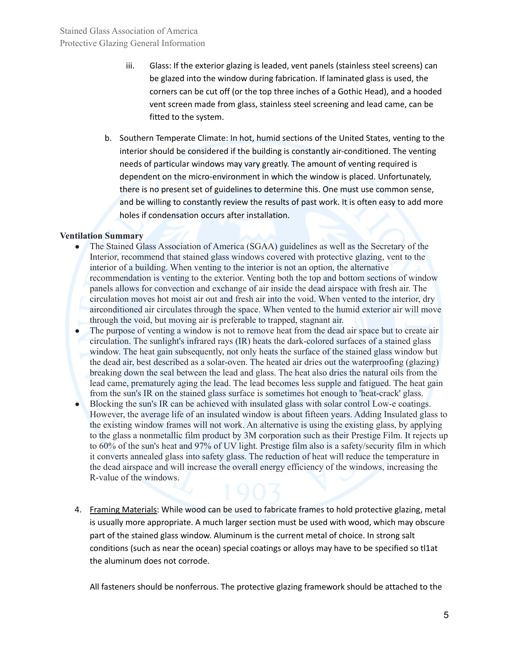- iii. Glass: If the exterior glazing is leaded, vent panels (stainless steel screens) can be glazed into the window during fabrication. If laminated glass is used, the corners can be cut off (or the top three inches of a Gothic Head), and a hooded vent screen made from glass, stainless steel screening and lead came, can be fitted to the system.
- b. Southern Temperate Climate: In hot, humid sections of the United States, venting to the interior should be considered if the building is constantly air-conditioned. The venting needs of particular windows may vary greatly. The amount of venting required is dependent on the micro-environment in which the window is placed. Unfortunately, there is no present set of guidelines to determine this. One must use common sense, and be willing to constantly review the results of past work. It is often easy to add more holes if condensation occurs after installation.

#### **Ventilation Summary**

- The Stained Glass Association of America (SGAA) guidelines as well as the Secretary of the Interior, recommend that stained glass windows covered with protective glazing, vent to the interior of a building. When venting to the interior is not an option, the alternative recommendation is venting to the exterior. Venting both the top and bottom sections of window panels allows for convection and exchange of air inside the dead airspace with fresh air. The circulation moves hot moist air out and fresh air into the void. When vented to the interior, dry airconditioned air circulates through the space. When vented to the humid exterior air will move through the void, but moving air is preferable to trapped, stagnant air.
- The purpose of venting a window is not to remove heat from the dead air space but to create air circulation. The sunlight's infrared rays (IR) heats the dark-colored surfaces of a stained glass window. The heat gain subsequently, not only heats the surface of the stained glass window but the dead air, best described as a solar-oven. The heated air dries out the waterproofing (glazing) breaking down the seal between the lead and glass. The heat also dries the natural oils from the lead came, prematurely aging the lead. The lead becomes less supple and fatigued. The heat gain from the sun's IR on the stained glass surface is sometimes hot enough to 'heat-crack' glass.
- Blocking the sun's IR can be achieved with insulated glass with solar control Low-e coatings. However, the average life of an insulated window is about fifteen years. Adding Insulated glass to the existing window frames will not work. An alternative is using the existing glass, by applying to the glass a nonmetallic film product by 3M corporation such as their Prestige Film. It rejects up to 60% of the sun's heat and 97% of UV light. Prestige film also is a safety/security film in which it converts annealed glass into safety glass. The reduction of heat will reduce the temperature in the dead airspace and will increase the overall energy efficiency of the windows, increasing the R-value of the windows.
- 4. Framing Materials: While wood can be used to fabricate frames to hold protective glazing, metal is usually more appropriate. A much larger section must be used with wood, which may obscure part of the stained glass window. Aluminum is the current metal of choice. In strong salt conditions (such as near the ocean) special coatings or alloys may have to be specified so tl1at the aluminum does not corrode.

All fasteners should be nonferrous. The protective glazing framework should be attached to the